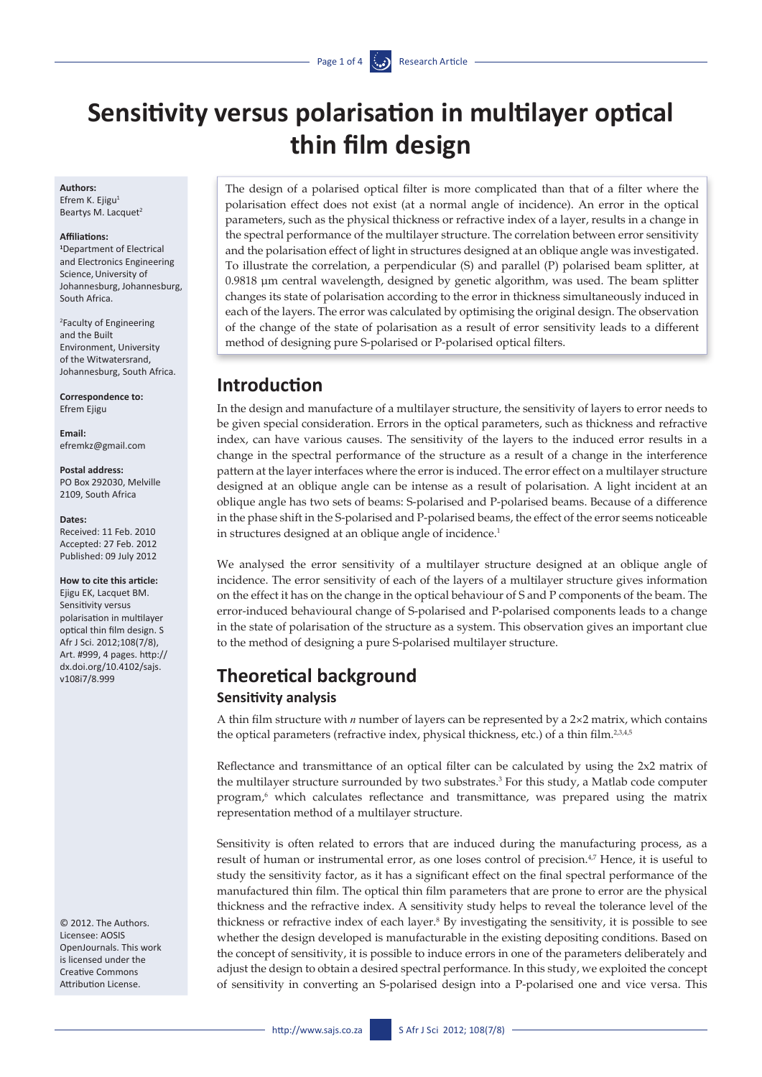# **Sensitivity versus polarisation in multilayer optical thin film design**

### **Authors:**

Efrem K. Ejigu<sup>1</sup> Beartys M. Lacquet<sup>2</sup>

#### **Affiliations:**

**1** Department of Electrical and Electronics Engineering Science, University of Johannesburg, Johannesburg, South Africa.

2 Faculty of Engineering and the Built Environment, University of the Witwatersrand, Johannesburg, South Africa.

**Correspondence to:**  Efrem Ejigu

**Email:**  efremkz@gmail.com

#### **Postal address:**  PO Box 292030, Melville 2109, South Africa

#### **Dates:**

Received: 11 Feb. 2010 Accepted: 27 Feb. 2012 Published: 09 July 2012

#### **How to cite this article:**

Ejigu EK, Lacquet BM. Sensitivity versus polarisation in multilayer optical thin film design. S Afr J Sci. 2012;108(7/8), Art. #999, 4 pages. [http://](http://dx.doi.org/10.4102/sajs.v108i7/8.999) [dx.doi.org/10.4102/sajs.](http://dx.doi.org/10.4102/sajs.v108i7/8.999) [v108i7/8.999](http://dx.doi.org/10.4102/sajs.v108i7/8.999)

© 2012. The Authors. Licensee: AOSIS OpenJournals. This work is licensed under the Creative Commons Attribution License.

The design of a polarised optical filter is more complicated than that of a filter where the polarisation effect does not exist (at a normal angle of incidence). An error in the optical parameters, such as the physical thickness or refractive index of a layer, results in a change in the spectral performance of the multilayer structure. The correlation between error sensitivity and the polarisation effect of light in structures designed at an oblique angle was investigated. To illustrate the correlation, a perpendicular (S) and parallel (P) polarised beam splitter, at 0.9818 µm central wavelength, designed by genetic algorithm, was used. The beam splitter changes its state of polarisation according to the error in thickness simultaneously induced in each of the layers. The error was calculated by optimising the original design. The observation of the change of the state of polarisation as a result of error sensitivity leads to a different method of designing pure S-polarised or P-polarised optical filters.

# **Introduction**

In the design and manufacture of a multilayer structure, the sensitivity of layers to error needs to be given special consideration. Errors in the optical parameters, such as thickness and refractive index, can have various causes. The sensitivity of the layers to the induced error results in a change in the spectral performance of the structure as a result of a change in the interference pattern at the layer interfaces where the error is induced. The error effect on a multilayer structure designed at an oblique angle can be intense as a result of polarisation. A light incident at an oblique angle has two sets of beams: S-polarised and P-polarised beams. Because of a difference in the phase shift in the S-polarised and P-polarised beams, the effect of the error seems noticeable in structures designed at an oblique angle of incidence.<sup>1</sup>

We analysed the error sensitivity of a multilayer structure designed at an oblique angle of incidence. The error sensitivity of each of the layers of a multilayer structure gives information on the effect it has on the change in the optical behaviour of S and P components of the beam. The error-induced behavioural change of S-polarised and P-polarised components leads to a change in the state of polarisation of the structure as a system. This observation gives an important clue to the method of designing a pure S-polarised multilayer structure.

# **Theoretical background**

## **Sensitivity analysis**

A thin film structure with *n* number of layers can be represented by a 2×2 matrix, which contains the optical parameters (refractive index, physical thickness, etc.) of a thin film.<sup>2,3,4,5</sup>

Reflectance and transmittance of an optical filter can be calculated by using the 2x2 matrix of the multilayer structure surrounded by two substrates.<sup>3</sup> For this study, a Matlab code computer program,<sup>6</sup> which calculates reflectance and transmittance, was prepared using the matrix representation method of a multilayer structure.

Sensitivity is often related to errors that are induced during the manufacturing process, as a result of human or instrumental error, as one loses control of precision.4,7 Hence, it is useful to study the sensitivity factor, as it has a significant effect on the final spectral performance of the manufactured thin film. The optical thin film parameters that are prone to error are the physical thickness and the refractive index. A sensitivity study helps to reveal the tolerance level of the thickness or refractive index of each layer.8 By investigating the sensitivity, it is possible to see whether the design developed is manufacturable in the existing depositing conditions. Based on the concept of sensitivity, it is possible to induce errors in one of the parameters deliberately and adjust the design to obtain a desired spectral performance. In this study, we exploited the concept of sensitivity in converting an S-polarised design into a P-polarised one and vice versa. This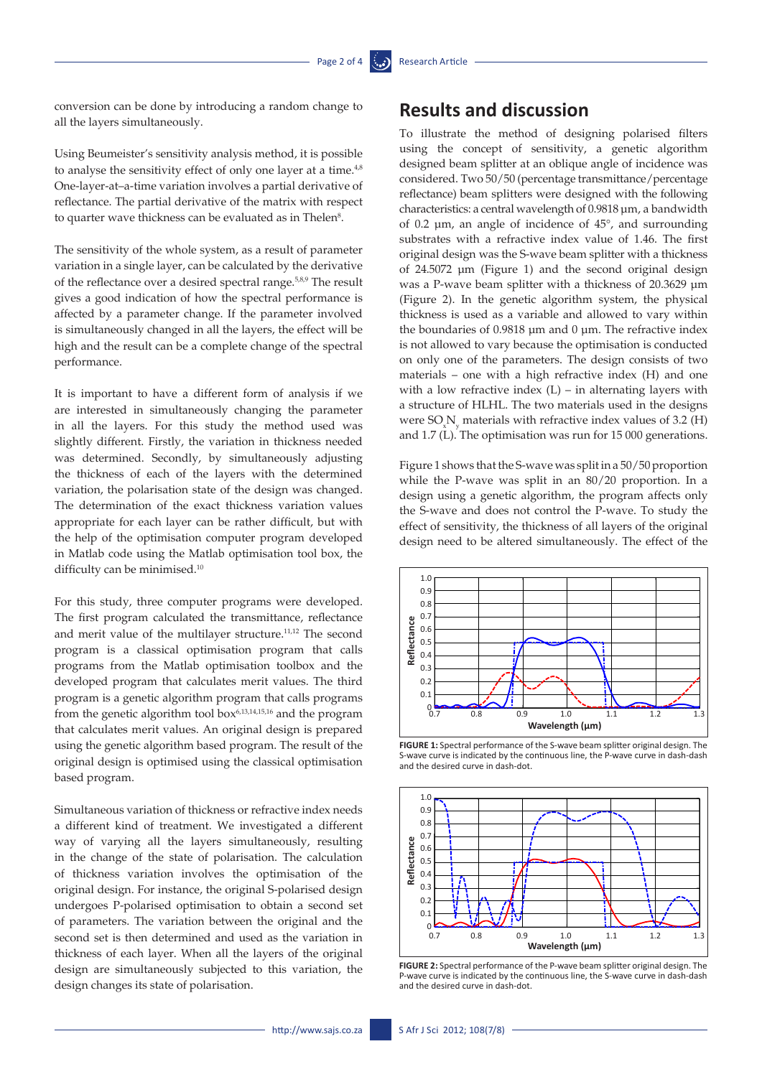conversion can be done by introducing a random change to all the layers simultaneously.

Using Beumeister's sensitivity analysis method, it is possible to analyse the sensitivity effect of only one layer at a time.<sup>4,8</sup> One-layer-at–a-time variation involves a partial derivative of reflectance. The partial derivative of the matrix with respect to quarter wave thickness can be evaluated as in Thelen<sup>8</sup>.

The sensitivity of the whole system, as a result of parameter variation in a single layer, can be calculated by the derivative of the reflectance over a desired spectral range.<sup>5,8,9</sup> The result gives a good indication of how the spectral performance is affected by a parameter change. If the parameter involved is simultaneously changed in all the layers, the effect will be high and the result can be a complete change of the spectral performance.

It is important to have a different form of analysis if we are interested in simultaneously changing the parameter in all the layers. For this study the method used was slightly different. Firstly, the variation in thickness needed was determined. Secondly, by simultaneously adjusting the thickness of each of the layers with the determined variation, the polarisation state of the design was changed. The determination of the exact thickness variation values appropriate for each layer can be rather difficult, but with the help of the optimisation computer program developed in Matlab code using the Matlab optimisation tool box, the difficulty can be minimised.<sup>10</sup>

For this study, three computer programs were developed. The first program calculated the transmittance, reflectance and merit value of the multilayer structure.11,12 The second program is a classical optimisation program that calls programs from the Matlab optimisation toolbox and the developed program that calculates merit values. The third program is a genetic algorithm program that calls programs from the genetic algorithm tool box6,13,14,15,16 and the program that calculates merit values. An original design is prepared using the genetic algorithm based program. The result of the original design is optimised using the classical optimisation based program.

Simultaneous variation of thickness or refractive index needs a different kind of treatment. We investigated a different way of varying all the layers simultaneously, resulting in the change of the state of polarisation. The calculation of thickness variation involves the optimisation of the original design. For instance, the original S-polarised design undergoes P-polarised optimisation to obtain a second set of parameters. The variation between the original and the second set is then determined and used as the variation in thickness of each layer. When all the layers of the original design are simultaneously subjected to this variation, the design changes its state of polarisation.

# **Results and discussion**

To illustrate the method of designing polarised filters using the concept of sensitivity, a genetic algorithm designed beam splitter at an oblique angle of incidence was considered. Two 50/50 (percentage transmittance/percentage reflectance) beam splitters were designed with the following characteristics: a central wavelength of 0.9818 µm, a bandwidth of 0.2 µm, an angle of incidence of 45°, and surrounding substrates with a refractive index value of 1.46. The first original design was the S-wave beam splitter with a thickness of 24.5072 µm (Figure 1) and the second original design was a P-wave beam splitter with a thickness of 20.3629 µm (Figure 2). In the genetic algorithm system, the physical thickness is used as a variable and allowed to vary within the boundaries of 0.9818 µm and 0 µm. The refractive index is not allowed to vary because the optimisation is conducted on only one of the parameters. The design consists of two materials – one with a high refractive index (H) and one with a low refractive index  $(L)$  – in alternating layers with a structure of HLHL. The two materials used in the designs were  $SO_xN_y$  materials with refractive index values of 3.2 (H) and 1.7 (L). The optimisation was run for 15 000 generations.

Figure 1 shows that the S-wave was split in a 50/50 proportion while the P-wave was split in an 80/20 proportion. In a design using a genetic algorithm, the program affects only the S-wave and does not control the P-wave. To study the effect of sensitivity, the thickness of all layers of the original design need to be altered simultaneously. The effect of the



**FIGURE 1:** Spectral performance of the S-wave beam splitter original design. The S-wave curve is indicated by the continuous line, the P-wave curve in dash-dash and the desired curve in dash-dot.



**FIGURE 2:** Spectral performance of the P-wave beam splitter original design. The P-wave curve is indicated by the continuous line, the S-wave curve in dash-dash and the desired curve in dash-dot.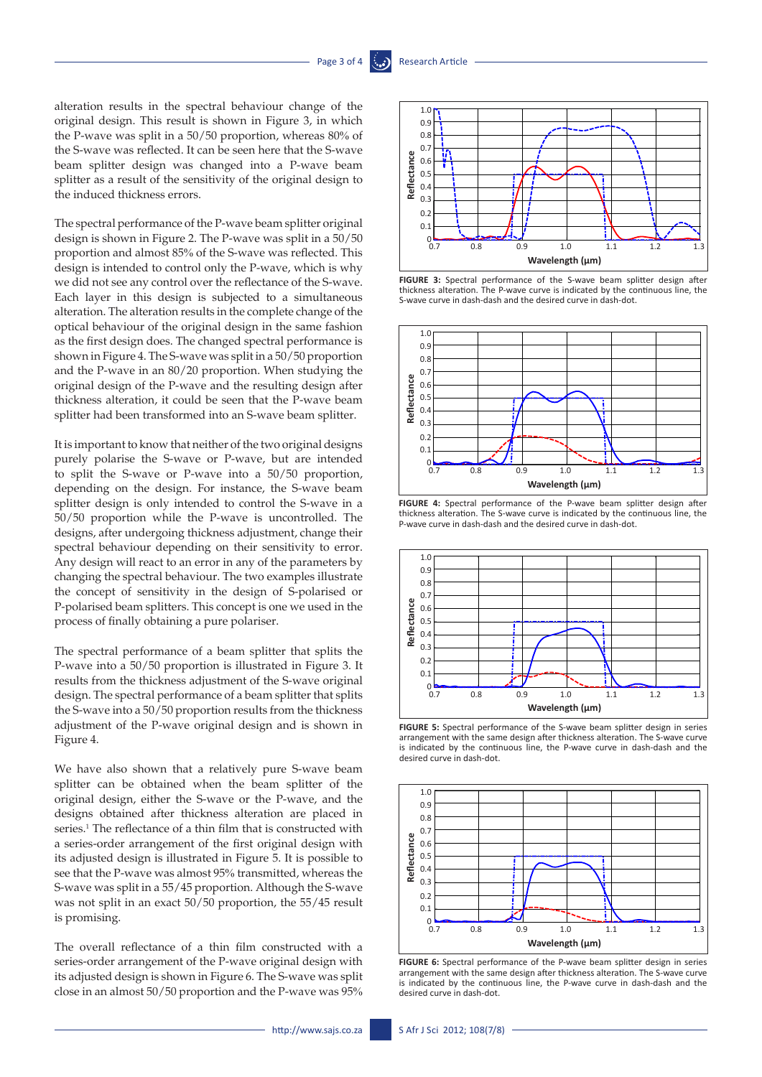alteration results in the spectral behaviour change of the original design. This result is shown in Figure 3, in which the P-wave was split in a 50/50 proportion, whereas 80% of the S-wave was reflected. It can be seen here that the S-wave beam splitter design was changed into a P-wave beam splitter as a result of the sensitivity of the original design to the induced thickness errors.

The spectral performance of the P-wave beam splitter original design is shown in Figure 2. The P-wave was split in a 50/50 proportion and almost 85% of the S-wave was reflected. This design is intended to control only the P-wave, which is why we did not see any control over the reflectance of the S-wave. Each layer in this design is subjected to a simultaneous alteration. The alteration results in the complete change of the optical behaviour of the original design in the same fashion as the first design does. The changed spectral performance is shown in Figure 4. The S-wave was split in a 50/50 proportion and the P-wave in an 80/20 proportion. When studying the original design of the P-wave and the resulting design after thickness alteration, it could be seen that the P-wave beam splitter had been transformed into an S-wave beam splitter.

It is important to know that neither of the two original designs purely polarise the S-wave or P-wave, but are intended to split the S-wave or P-wave into a 50/50 proportion, depending on the design. For instance, the S-wave beam splitter design is only intended to control the S-wave in a 50/50 proportion while the P-wave is uncontrolled. The designs, after undergoing thickness adjustment, change their spectral behaviour depending on their sensitivity to error. Any design will react to an error in any of the parameters by changing the spectral behaviour. The two examples illustrate the concept of sensitivity in the design of S-polarised or P-polarised beam splitters. This concept is one we used in the process of finally obtaining a pure polariser.

The spectral performance of a beam splitter that splits the P-wave into a 50/50 proportion is illustrated in Figure 3. It results from the thickness adjustment of the S-wave original design. The spectral performance of a beam splitter that splits the S-wave into a 50/50 proportion results from the thickness adjustment of the P-wave original design and is shown in Figure 4.

We have also shown that a relatively pure S-wave beam splitter can be obtained when the beam splitter of the original design, either the S-wave or the P-wave, and the designs obtained after thickness alteration are placed in series.<sup>1</sup> The reflectance of a thin film that is constructed with a series-order arrangement of the first original design with its adjusted design is illustrated in Figure 5. It is possible to see that the P-wave was almost 95% transmitted, whereas the S-wave was split in a 55/45 proportion. Although the S-wave was not split in an exact 50/50 proportion, the 55/45 result is promising.

The overall reflectance of a thin film constructed with a series-order arrangement of the P-wave original design with its adjusted design is shown in Figure 6. The S-wave was split close in an almost 50/50 proportion and the P-wave was 95%



**FIGURE 3:** Spectral performance of the S-wave beam splitter design after thickness alteration. The P-wave curve is indicated by the continuous line, the S-wave curve in dash-dash and the desired curve in dash-dot.



**FIGURE 4:** Spectral performance of the P-wave beam splitter design after thickness alteration. The S-wave curve is indicated by the continuous line, the P-wave curve in dash-dash and the desired curve in dash-dot.



**FIGURE 5:** Spectral performance of the S-wave beam splitter design in series arrangement with the same design after thickness alteration. The S-wave curve is indicated by the continuous line, the P-wave curve in dash-dash and the desired curve in dash-dot.



**FIGURE 6:** Spectral performance of the P-wave beam splitter design in series arrangement with the same design after thickness alteration. The S-wave curve is indicated by the continuous line, the P-wave curve in dash-dash and the desired curve in dash-dot.